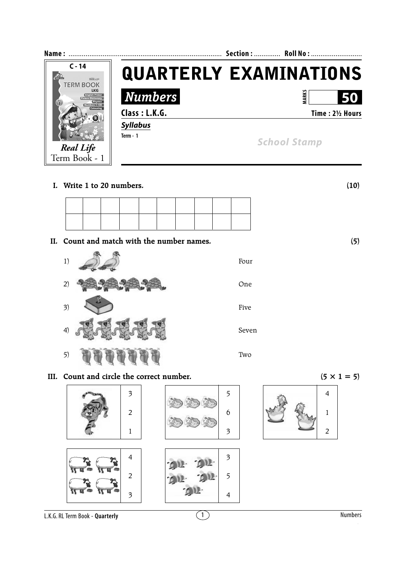

**I. Write 1 to 20 numbers. (10)**

 **II. Count and match with the number names. (5)**



**III.** Count and circle the correct number. ( $5 \times 1 = 5$ )



L.K.G. RL Term Book - **Quarterly**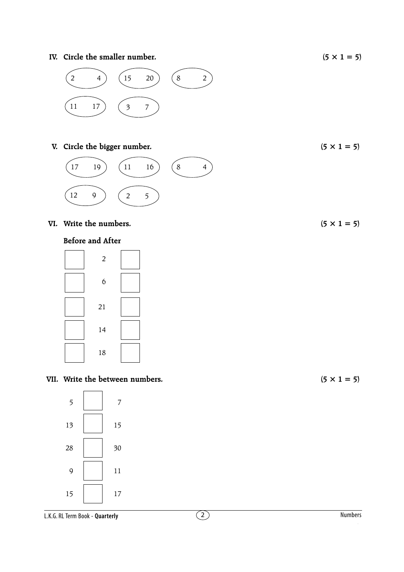**IV.** Circle the smaller number. ( $5 \times 1 = 5$ )



## **V.** Circle the bigger number. (5  $\times$  1 = 5)



## **VI.** Write the numbers.  $(5 \times 1 = 5)$

## **Before and After**

## **VII.** Write the between numbers.  $(5 \times 1 = 5)$

L.K.G. RL Term Book - **Quarterly**

2 Numbers